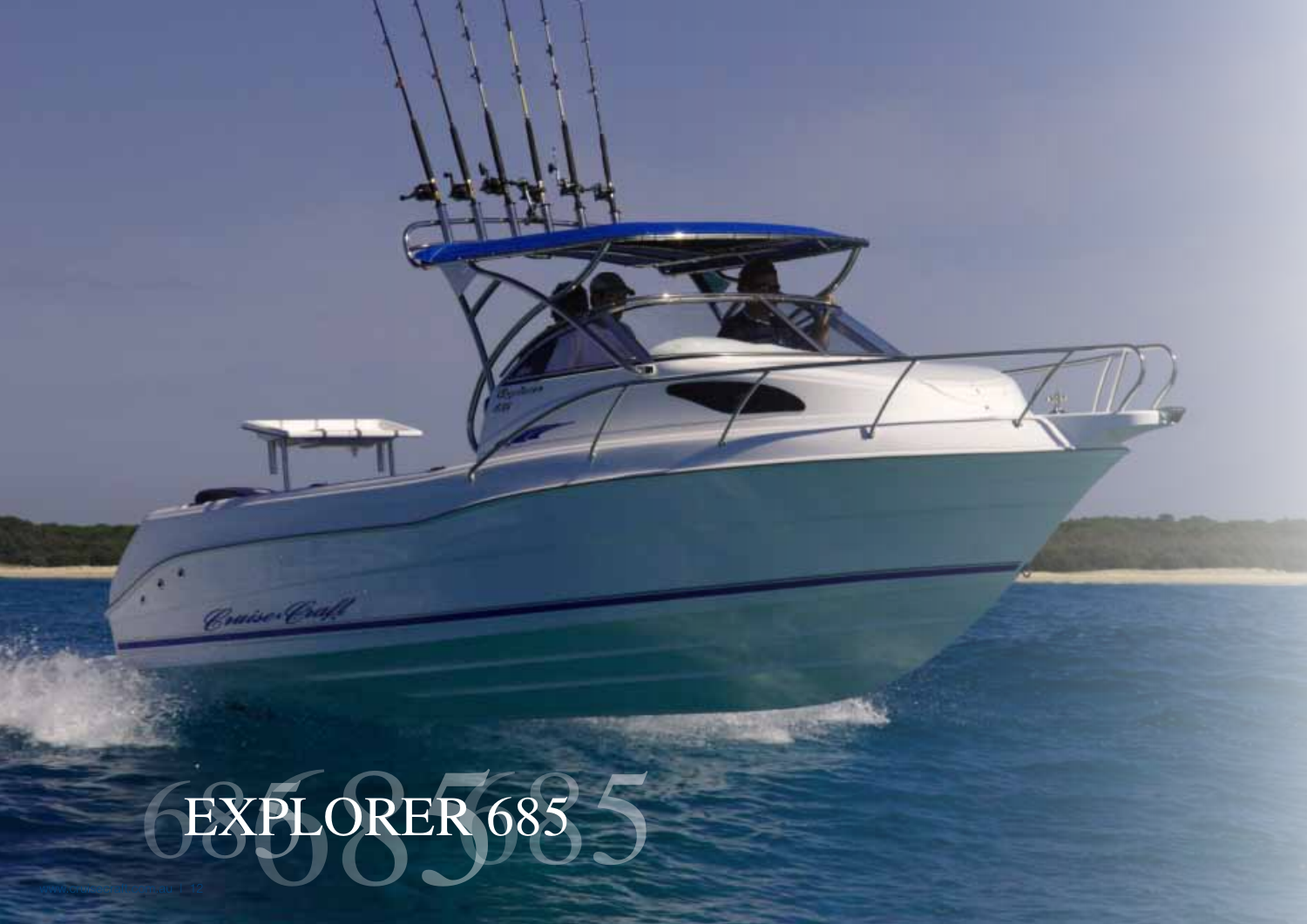## EXPLORER 685

Consec Craft

m

œ

www.cruisecraft.com.au | 12